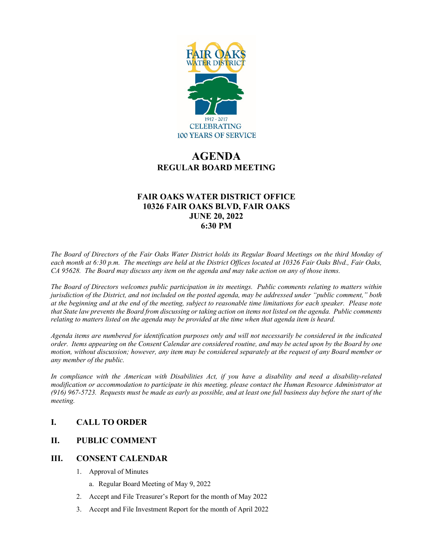

# **AGENDA REGULAR BOARD MEETING**

# **FAIR OAKS WATER DISTRICT OFFICE 10326 FAIR OAKS BLVD, FAIR OAKS JUNE 20, 2022 6:30 PM**

*The Board of Directors of the Fair Oaks Water District holds its Regular Board Meetings on the third Monday of each month at 6:30 p.m. The meetings are held at the District Offices located at 10326 Fair Oaks Blvd., Fair Oaks, CA 95628. The Board may discuss any item on the agenda and may take action on any of those items.* 

*The Board of Directors welcomes public participation in its meetings. Public comments relating to matters within jurisdiction of the District, and not included on the posted agenda, may be addressed under "public comment," both at the beginning and at the end of the meeting, subject to reasonable time limitations for each speaker. Please note that State law prevents the Board from discussing or taking action on items not listed on the agenda. Public comments relating to matters listed on the agenda may be provided at the time when that agenda item is heard.* 

*Agenda items are numbered for identification purposes only and will not necessarily be considered in the indicated order. Items appearing on the Consent Calendar are considered routine, and may be acted upon by the Board by one motion, without discussion; however, any item may be considered separately at the request of any Board member or any member of the public.* 

*In compliance with the American with Disabilities Act, if you have a disability and need a disability-related modification or accommodation to participate in this meeting, please contact the Human Resource Administrator at (916) 967-5723. Requests must be made as early as possible, and at least one full business day before the start of the meeting.* 

# **I. CALL TO ORDER**

# **II. PUBLIC COMMENT**

### **III. CONSENT CALENDAR**

- 1. Approval of Minutes
	- a. Regular Board Meeting of May 9, 2022
- 2. Accept and File Treasurer's Report for the month of May 2022
- 3. Accept and File Investment Report for the month of April 2022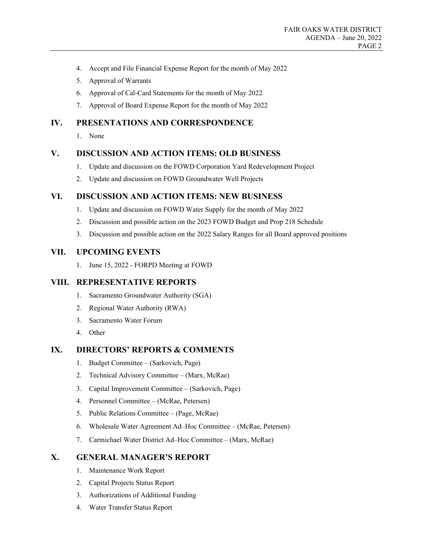- 4. Accept and File Financial Expense Report for the month of May 2022
- 5. Approval of Warrants
- 6. Approval of Cal-Card Statements for the month of May 2022
- 7. Approval of Board Expense Report for the month of May 2022

## **IV. PRESENTATIONS AND CORRESPONDENCE**

1. None

### **V. DISCUSSION AND ACTION ITEMS: OLD BUSINESS**

- 1. Update and discussion on the FOWD Corporation Yard Redevelopment Project
- 2. Update and discussion on FOWD Groundwater Well Projects

## **VI. DISCUSSION AND ACTION ITEMS: NEW BUSINESS**

- 1. Update and discussion on FOWD Water Supply for the month of May 2022
- 2. Discussion and possible action on the 2023 FOWD Budget and Prop 218 Schedule
- 3. Discussion and possible action on the 2022 Salary Ranges for all Board approved positions

### **VII. UPCOMING EVENTS**

1. June 15, 2022 - FORPD Meeting at FOWD

### **VIII. REPRESENTATIVE REPORTS**

- 1. Sacramento Groundwater Authority (SGA)
- 2. Regional Water Authority (RWA)
- 3. Sacramento Water Forum
- 4. Other

## **IX. DIRECTORS' REPORTS & COMMENTS**

- 1. Budget Committee (Sarkovich, Page)
- 2. Technical Advisory Committee (Marx, McRae)
- 3. Capital Improvement Committee (Sarkovich, Page)
- 4. Personnel Committee (McRae, Petersen)
- 5. Public Relations Committee (Page, McRae)
- 6. Wholesale Water Agreement Ad–Hoc Committee (McRae, Petersen)
- 7. Carmichael Water District Ad–Hoc Committee (Marx, McRae)

## **X. GENERAL MANAGER'S REPORT**

- 1. Maintenance Work Report
- 2. Capital Projects Status Report
- 3. Authorizations of Additional Funding
- 4. Water Transfer Status Report